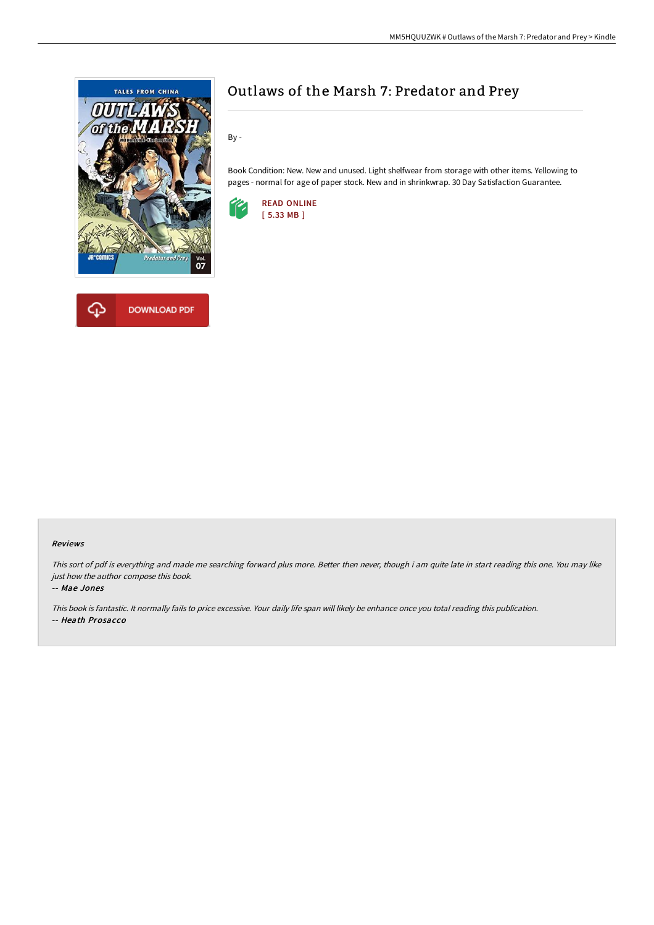

# Outlaws of the Marsh 7: Predator and Prey

By -

Book Condition: New. New and unused. Light shelfwear from storage with other items. Yellowing to pages - normal for age of paper stock. New and in shrinkwrap. 30 Day Satisfaction Guarantee.



### Reviews

This sort of pdf is everything and made me searching forward plus more. Better then never, though i am quite late in start reading this one. You may like just how the author compose this book.

#### -- Mae Jones

This book is fantastic. It normally fails to price excessive. Your daily life span will likely be enhance once you total reading this publication. -- Heath Prosacco